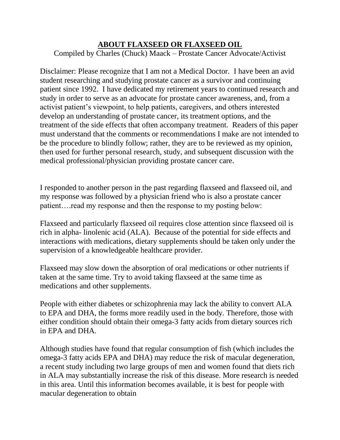## **ABOUT FLAXSEED OR FLAXSEED OIL**

Compiled by Charles (Chuck) Maack – Prostate Cancer Advocate/Activist

Disclaimer: Please recognize that I am not a Medical Doctor. I have been an avid student researching and studying prostate cancer as a survivor and continuing patient since 1992. I have dedicated my retirement years to continued research and study in order to serve as an advocate for prostate cancer awareness, and, from a activist patient's viewpoint, to help patients, caregivers, and others interested develop an understanding of prostate cancer, its treatment options, and the treatment of the side effects that often accompany treatment. Readers of this paper must understand that the comments or recommendations I make are not intended to be the procedure to blindly follow; rather, they are to be reviewed as my opinion, then used for further personal research, study, and subsequent discussion with the medical professional/physician providing prostate cancer care.

I responded to another person in the past regarding flaxseed and flaxseed oil, and my response was followed by a physician friend who is also a prostate cancer patient....read my response and then the response to my posting below:

Flaxseed and particularly flaxseed oil requires close attention since flaxseed oil is rich in alpha- linolenic acid (ALA). Because of the potential for side effects and interactions with medications, dietary supplements should be taken only under the supervision of a knowledgeable healthcare provider.

Flaxseed may slow down the absorption of oral medications or other nutrients if taken at the same time. Try to avoid taking flaxseed at the same time as medications and other supplements.

People with either diabetes or schizophrenia may lack the ability to convert ALA to EPA and DHA, the forms more readily used in the body. Therefore, those with either condition should obtain their omega-3 fatty acids from dietary sources rich in EPA and DHA.

Although studies have found that regular consumption of fish (which includes the omega-3 fatty acids EPA and DHA) may reduce the risk of macular degeneration, a recent study including two large groups of men and women found that diets rich in ALA may substantially increase the risk of this disease. More research is needed in this area. Until this information becomes available, it is best for people with macular degeneration to obtain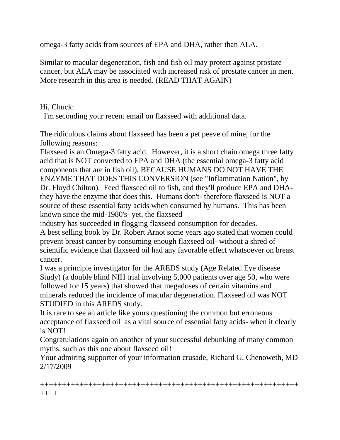omega-3 fatty acids from sources of EPA and DHA, rather than ALA.

Similar to macular degeneration, fish and fish oil may protect against prostate cancer, but ALA may be associated with increased risk of prostate cancer in men. More research in this area is needed. (READ THAT AGAIN)

## Hi, Chuck:

I'm seconding your recent email on flaxseed with additional data.

The ridiculous claims about flaxseed has been a pet peeve of mine, for the following reasons:

Flaxseed is an Omega-3 fatty acid. However, it is a short chain omega three fatty acid that is NOT converted to EPA and DHA (the essential omega-3 fatty acid components that are in fish oil), BECAUSE HUMANS DO NOT HAVE THE ENZYME THAT DOES THIS CONVERSION (see "Inflammation Nation", by Dr. Floyd Chilton). Feed flaxseed oil to fish, and they'll produce EPA and DHAthey have the enzyme that does this. Humans don't- therefore flaxseed is NOT a source of these essential fatty acids when consumed by humans. This has been known since the mid-1980's- yet, the flaxseed

industry has succeeded in flogging flaxseed consumption for decades.

A best selling book by Dr. Robert Arnot some years ago stated that women could prevent breast cancer by consuming enough flaxseed oil- without a shred of scientific evidence that flaxseed oil had any favorable effect whatsoever on breast cancer.

I was a principle investigator for the AREDS study (Age Related Eye disease Study) (a double blind NIH trial involving 5,000 patients over age 50, who were followed for 15 years) that showed that megadoses of certain vitamins and minerals reduced the incidence of macular degeneration. Flaxseed oil was NOT STUDIED in this AREDS study.

It is rare to see an article like yours questioning the common but erroneous acceptance of flaxseed oil as a vital source of essential fatty acids- when it clearly is NOT!

Congratulations again on another of your successful debunking of many common myths, such as this one about flaxseed oil!

Your admiring supporter of your information crusade, Richard G. Chenoweth, MD 2/17/2009

+++++++++++++++++++++++++++++++++++++++++++++++++++++++++++ ++++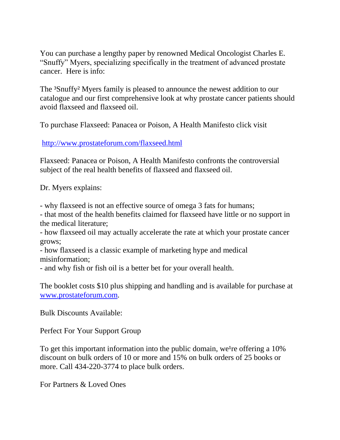You can purchase a lengthy paper by renowned Medical Oncologist Charles E. "Snuffy" Myers, specializing specifically in the treatment of advanced prostate cancer. Here is info:

The <sup>3</sup>Snuffy<sup>2</sup> Myers family is pleased to announce the newest addition to our catalogue and our first comprehensive look at why prostate cancer patients should avoid flaxseed and flaxseed oil.

To purchase Flaxseed: Panacea or Poison, A Health Manifesto click visit

<http://www.prostateforum.com/flaxseed.html>

Flaxseed: Panacea or Poison, A Health Manifesto confronts the controversial subject of the real health benefits of flaxseed and flaxseed oil.

Dr. Myers explains:

- why flaxseed is not an effective source of omega 3 fats for humans;

- that most of the health benefits claimed for flaxseed have little or no support in the medical literature;

- how flaxseed oil may actually accelerate the rate at which your prostate cancer grows;

- how flaxseed is a classic example of marketing hype and medical misinformation;

- and why fish or fish oil is a better bet for your overall health.

The booklet costs \$10 plus shipping and handling and is available for purchase at [www.prostateforum.com.](http://www.prostateforum.com/)

Bulk Discounts Available:

Perfect For Your Support Group

To get this important information into the public domain, we're offering a  $10\%$ discount on bulk orders of 10 or more and 15% on bulk orders of 25 books or more. Call 434-220-3774 to place bulk orders.

For Partners & Loved Ones